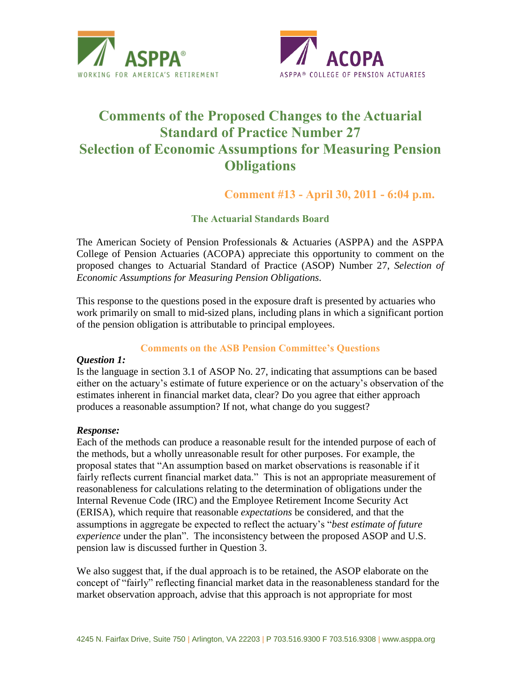



# **Comments of the Proposed Changes to the Actuarial Standard of Practice Number 27 Selection of Economic Assumptions for Measuring Pension Obligations**

**Comment #13 - April 30, 2011 - 6:04 p.m.**

**The Actuarial Standards Board**

The American Society of Pension Professionals & Actuaries (ASPPA) and the ASPPA College of Pension Actuaries (ACOPA) appreciate this opportunity to comment on the proposed changes to Actuarial Standard of Practice (ASOP) Number 27, *Selection of Economic Assumptions for Measuring Pension Obligations.*

This response to the questions posed in the exposure draft is presented by actuaries who work primarily on small to mid-sized plans, including plans in which a significant portion of the pension obligation is attributable to principal employees.

# **Comments on the ASB Pension Committee's Questions**

#### *Question 1:*

Is the language in section 3.1 of ASOP No. 27, indicating that assumptions can be based either on the actuary's estimate of future experience or on the actuary's observation of the estimates inherent in financial market data, clear? Do you agree that either approach produces a reasonable assumption? If not, what change do you suggest?

#### *Response:*

Each of the methods can produce a reasonable result for the intended purpose of each of the methods, but a wholly unreasonable result for other purposes. For example, the proposal states that "An assumption based on market observations is reasonable if it fairly reflects current financial market data." This is not an appropriate measurement of reasonableness for calculations relating to the determination of obligations under the Internal Revenue Code (IRC) and the Employee Retirement Income Security Act (ERISA), which require that reasonable *expectations* be considered, and that the assumptions in aggregate be expected to reflect the actuary's "*best estimate of future experience* under the plan". The inconsistency between the proposed ASOP and U.S. pension law is discussed further in Question 3.

We also suggest that, if the dual approach is to be retained, the ASOP elaborate on the concept of "fairly" reflecting financial market data in the reasonableness standard for the market observation approach, advise that this approach is not appropriate for most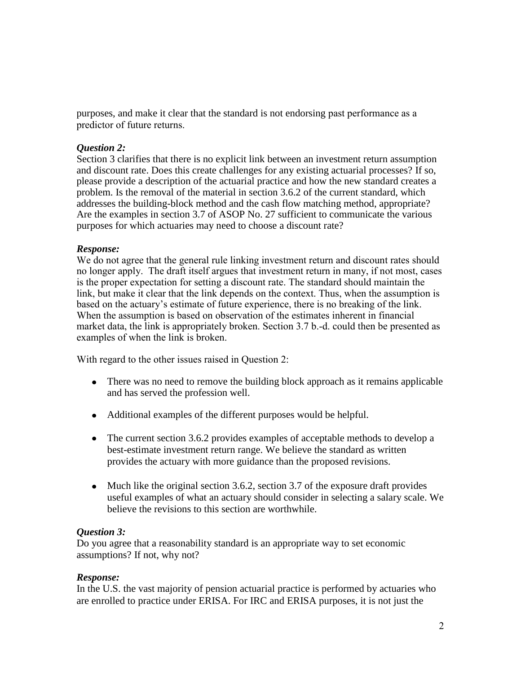purposes, and make it clear that the standard is not endorsing past performance as a predictor of future returns.

## *Question 2:*

Section 3 clarifies that there is no explicit link between an investment return assumption and discount rate. Does this create challenges for any existing actuarial processes? If so, please provide a description of the actuarial practice and how the new standard creates a problem. Is the removal of the material in section 3.6.2 of the current standard, which addresses the building-block method and the cash flow matching method, appropriate? Are the examples in section 3.7 of ASOP No. 27 sufficient to communicate the various purposes for which actuaries may need to choose a discount rate?

## *Response:*

We do not agree that the general rule linking investment return and discount rates should no longer apply. The draft itself argues that investment return in many, if not most, cases is the proper expectation for setting a discount rate. The standard should maintain the link, but make it clear that the link depends on the context. Thus, when the assumption is based on the actuary's estimate of future experience, there is no breaking of the link. When the assumption is based on observation of the estimates inherent in financial market data, the link is appropriately broken. Section 3.7 b.-d. could then be presented as examples of when the link is broken.

With regard to the other issues raised in Question 2:

- There was no need to remove the building block approach as it remains applicable and has served the profession well.
- Additional examples of the different purposes would be helpful.
- The current section 3.6.2 provides examples of acceptable methods to develop a best-estimate investment return range. We believe the standard as written provides the actuary with more guidance than the proposed revisions.
- Much like the original section 3.6.2, section 3.7 of the exposure draft provides useful examples of what an actuary should consider in selecting a salary scale. We believe the revisions to this section are worthwhile.

# *Question 3:*

Do you agree that a reasonability standard is an appropriate way to set economic assumptions? If not, why not?

#### *Response:*

In the U.S. the vast majority of pension actuarial practice is performed by actuaries who are enrolled to practice under ERISA. For IRC and ERISA purposes, it is not just the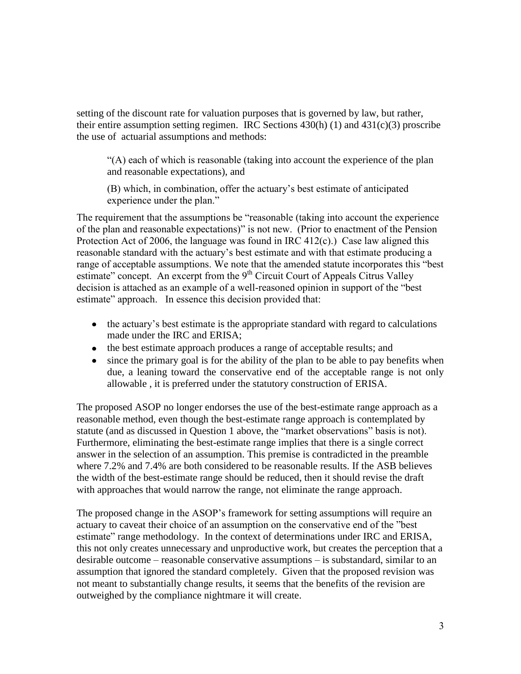setting of the discount rate for valuation purposes that is governed by law, but rather, their entire assumption setting regimen. IRC Sections  $430(h)$  (1) and  $431(c)(3)$  proscribe the use of actuarial assumptions and methods:

"(A) each of which is reasonable (taking into account the experience of the plan and reasonable expectations), and

(B) which, in combination, offer the actuary's best estimate of anticipated experience under the plan."

The requirement that the assumptions be "reasonable (taking into account the experience of the plan and reasonable expectations)" is not new. (Prior to enactment of the Pension Protection Act of 2006, the language was found in IRC 412(c).) Case law aligned this reasonable standard with the actuary's best estimate and with that estimate producing a range of acceptable assumptions. We note that the amended statute incorporates this "best estimate" concept. An excerpt from the 9<sup>th</sup> Circuit Court of Appeals Citrus Valley decision is attached as an example of a well-reasoned opinion in support of the "best estimate" approach. In essence this decision provided that:

- the actuary's best estimate is the appropriate standard with regard to calculations made under the IRC and ERISA;
- the best estimate approach produces a range of acceptable results; and
- since the primary goal is for the ability of the plan to be able to pay benefits when due, a leaning toward the conservative end of the acceptable range is not only allowable , it is preferred under the statutory construction of ERISA.

The proposed ASOP no longer endorses the use of the best-estimate range approach as a reasonable method, even though the best-estimate range approach is contemplated by statute (and as discussed in Question 1 above, the "market observations" basis is not). Furthermore, eliminating the best-estimate range implies that there is a single correct answer in the selection of an assumption. This premise is contradicted in the preamble where 7.2% and 7.4% are both considered to be reasonable results. If the ASB believes the width of the best-estimate range should be reduced, then it should revise the draft with approaches that would narrow the range, not eliminate the range approach.

The proposed change in the ASOP's framework for setting assumptions will require an actuary to caveat their choice of an assumption on the conservative end of the "best estimate" range methodology. In the context of determinations under IRC and ERISA, this not only creates unnecessary and unproductive work, but creates the perception that a desirable outcome – reasonable conservative assumptions – is substandard, similar to an assumption that ignored the standard completely. Given that the proposed revision was not meant to substantially change results, it seems that the benefits of the revision are outweighed by the compliance nightmare it will create.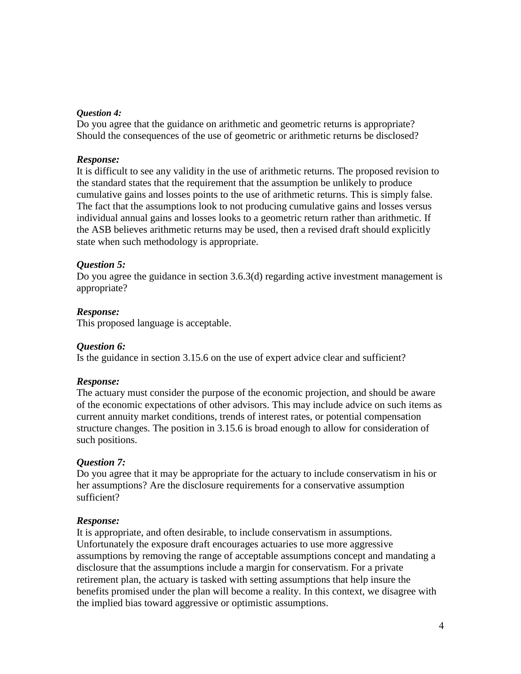#### *Question 4:*

Do you agree that the guidance on arithmetic and geometric returns is appropriate? Should the consequences of the use of geometric or arithmetic returns be disclosed?

#### *Response:*

It is difficult to see any validity in the use of arithmetic returns. The proposed revision to the standard states that the requirement that the assumption be unlikely to produce cumulative gains and losses points to the use of arithmetic returns. This is simply false. The fact that the assumptions look to not producing cumulative gains and losses versus individual annual gains and losses looks to a geometric return rather than arithmetic. If the ASB believes arithmetic returns may be used, then a revised draft should explicitly state when such methodology is appropriate.

#### *Question 5:*

Do you agree the guidance in section 3.6.3(d) regarding active investment management is appropriate?

#### *Response:*

This proposed language is acceptable.

#### *Question 6:*

Is the guidance in section 3.15.6 on the use of expert advice clear and sufficient?

#### *Response:*

The actuary must consider the purpose of the economic projection, and should be aware of the economic expectations of other advisors. This may include advice on such items as current annuity market conditions, trends of interest rates, or potential compensation structure changes. The position in 3.15.6 is broad enough to allow for consideration of such positions.

#### *Question 7:*

Do you agree that it may be appropriate for the actuary to include conservatism in his or her assumptions? Are the disclosure requirements for a conservative assumption sufficient?

#### *Response:*

It is appropriate, and often desirable, to include conservatism in assumptions. Unfortunately the exposure draft encourages actuaries to use more aggressive assumptions by removing the range of acceptable assumptions concept and mandating a disclosure that the assumptions include a margin for conservatism. For a private retirement plan, the actuary is tasked with setting assumptions that help insure the benefits promised under the plan will become a reality. In this context, we disagree with the implied bias toward aggressive or optimistic assumptions.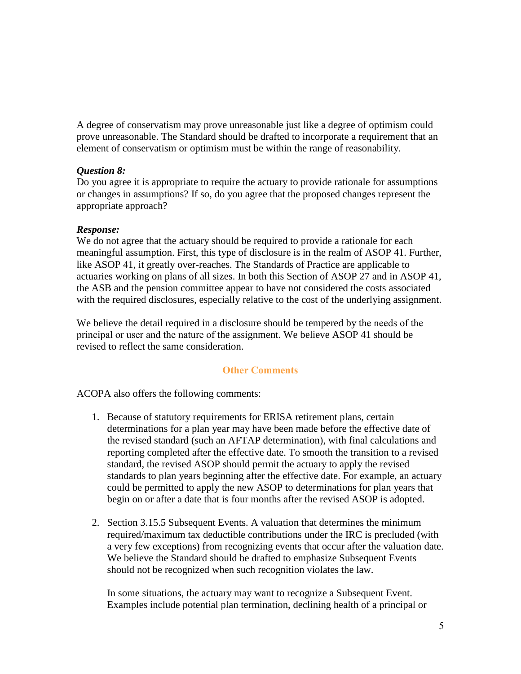A degree of conservatism may prove unreasonable just like a degree of optimism could prove unreasonable. The Standard should be drafted to incorporate a requirement that an element of conservatism or optimism must be within the range of reasonability.

## *Question 8:*

Do you agree it is appropriate to require the actuary to provide rationale for assumptions or changes in assumptions? If so, do you agree that the proposed changes represent the appropriate approach?

## *Response:*

We do not agree that the actuary should be required to provide a rationale for each meaningful assumption. First, this type of disclosure is in the realm of ASOP 41. Further, like ASOP 41, it greatly over-reaches. The Standards of Practice are applicable to actuaries working on plans of all sizes. In both this Section of ASOP 27 and in ASOP 41, the ASB and the pension committee appear to have not considered the costs associated with the required disclosures, especially relative to the cost of the underlying assignment.

We believe the detail required in a disclosure should be tempered by the needs of the principal or user and the nature of the assignment. We believe ASOP 41 should be revised to reflect the same consideration.

# **Other Comments**

ACOPA also offers the following comments:

- 1. Because of statutory requirements for ERISA retirement plans, certain determinations for a plan year may have been made before the effective date of the revised standard (such an AFTAP determination), with final calculations and reporting completed after the effective date. To smooth the transition to a revised standard, the revised ASOP should permit the actuary to apply the revised standards to plan years beginning after the effective date. For example, an actuary could be permitted to apply the new ASOP to determinations for plan years that begin on or after a date that is four months after the revised ASOP is adopted.
- 2. Section 3.15.5 Subsequent Events. A valuation that determines the minimum required/maximum tax deductible contributions under the IRC is precluded (with a very few exceptions) from recognizing events that occur after the valuation date. We believe the Standard should be drafted to emphasize Subsequent Events should not be recognized when such recognition violates the law.

In some situations, the actuary may want to recognize a Subsequent Event. Examples include potential plan termination, declining health of a principal or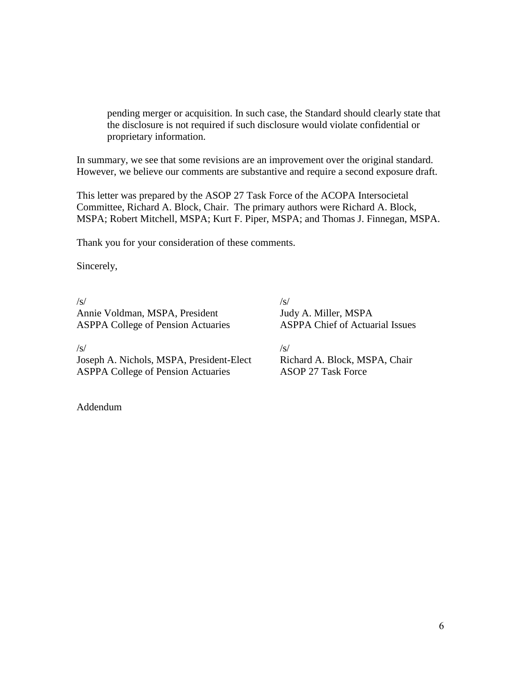pending merger or acquisition. In such case, the Standard should clearly state that the disclosure is not required if such disclosure would violate confidential or proprietary information.

In summary, we see that some revisions are an improvement over the original standard. However, we believe our comments are substantive and require a second exposure draft.

This letter was prepared by the ASOP 27 Task Force of the ACOPA Intersocietal Committee, Richard A. Block, Chair. The primary authors were Richard A. Block, MSPA; Robert Mitchell, MSPA; Kurt F. Piper, MSPA; and Thomas J. Finnegan, MSPA.

Thank you for your consideration of these comments.

Sincerely,

 $/s/$ Annie Voldman, MSPA, President ASPPA College of Pension Actuaries  $\sqrt{s}$ Judy A. Miller, MSPA ASPPA Chief of Actuarial Issues

/s/

Joseph A. Nichols, MSPA, President-Elect ASPPA College of Pension Actuaries

 $\sqrt{s}$ Richard A. Block, MSPA, Chair ASOP 27 Task Force

Addendum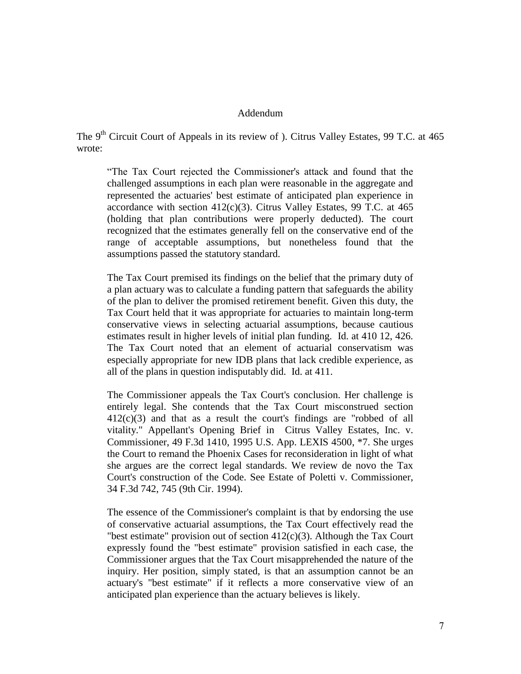#### Addendum

The 9<sup>th</sup> Circuit Court of Appeals in its review of ). Citrus Valley Estates, 99 T.C. at 465 wrote:

"The Tax Court rejected the Commissioner's attack and found that the challenged assumptions in each plan were reasonable in the aggregate and represented the actuaries' best estimate of anticipated plan experience in accordance with section  $412(c)(3)$ . Citrus Valley Estates, 99 T.C. at 465 (holding that plan contributions were properly deducted). The court recognized that the estimates generally fell on the conservative end of the range of acceptable assumptions, but nonetheless found that the assumptions passed the statutory standard.

The Tax Court premised its findings on the belief that the primary duty of a plan actuary was to calculate a funding pattern that safeguards the ability of the plan to deliver the promised retirement benefit. Given this duty, the Tax Court held that it was appropriate for actuaries to maintain long-term conservative views in selecting actuarial assumptions, because cautious estimates result in higher levels of initial plan funding. Id. at 410 12, 426. The Tax Court noted that an element of actuarial conservatism was especially appropriate for new IDB plans that lack credible experience, as all of the plans in question indisputably did. Id. at 411.

The Commissioner appeals the Tax Court's conclusion. Her challenge is entirely legal. She contends that the Tax Court misconstrued section 412(c)(3) and that as a result the court's findings are "robbed of all vitality." Appellant's Opening Brief in Citrus Valley Estates, Inc. v. Commissioner, 49 F.3d 1410, 1995 U.S. App. LEXIS 4500, \*7. She urges the Court to remand the Phoenix Cases for reconsideration in light of what she argues are the correct legal standards. We review de novo the Tax Court's construction of the Code. See Estate of Poletti v. Commissioner, 34 F.3d 742, 745 (9th Cir. 1994).

The essence of the Commissioner's complaint is that by endorsing the use of conservative actuarial assumptions, the Tax Court effectively read the "best estimate" provision out of section  $412(c)(3)$ . Although the Tax Court expressly found the "best estimate" provision satisfied in each case, the Commissioner argues that the Tax Court misapprehended the nature of the inquiry. Her position, simply stated, is that an assumption cannot be an actuary's "best estimate" if it reflects a more conservative view of an anticipated plan experience than the actuary believes is likely.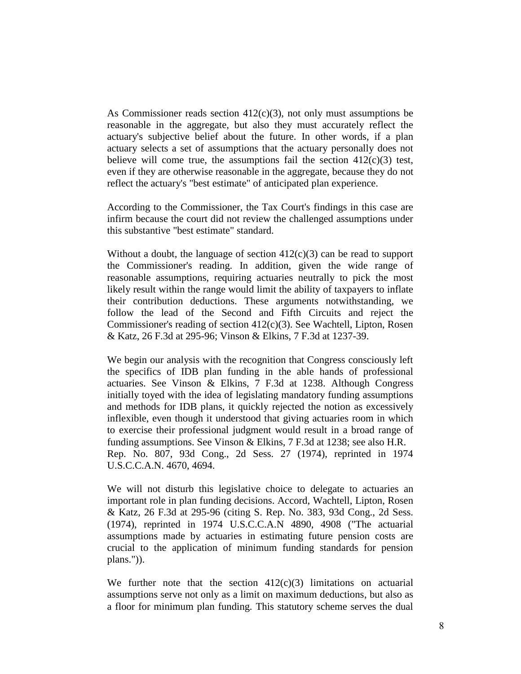As Commissioner reads section  $412(c)(3)$ , not only must assumptions be reasonable in the aggregate, but also they must accurately reflect the actuary's subjective belief about the future. In other words, if a plan actuary selects a set of assumptions that the actuary personally does not believe will come true, the assumptions fail the section  $412(c)(3)$  test, even if they are otherwise reasonable in the aggregate, because they do not reflect the actuary's "best estimate" of anticipated plan experience.

According to the Commissioner, the Tax Court's findings in this case are infirm because the court did not review the challenged assumptions under this substantive "best estimate" standard.

Without a doubt, the language of section  $412(c)(3)$  can be read to support the Commissioner's reading. In addition, given the wide range of reasonable assumptions, requiring actuaries neutrally to pick the most likely result within the range would limit the ability of taxpayers to inflate their contribution deductions. These arguments notwithstanding, we follow the lead of the Second and Fifth Circuits and reject the Commissioner's reading of section  $412(c)(3)$ . See Wachtell, Lipton, Rosen & Katz, 26 F.3d at 295-96; Vinson & Elkins, 7 F.3d at 1237-39.

We begin our analysis with the recognition that Congress consciously left the specifics of IDB plan funding in the able hands of professional actuaries. See Vinson & Elkins, 7 F.3d at 1238. Although Congress initially toyed with the idea of legislating mandatory funding assumptions and methods for IDB plans, it quickly rejected the notion as excessively inflexible, even though it understood that giving actuaries room in which to exercise their professional judgment would result in a broad range of funding assumptions. See Vinson & Elkins, 7 F.3d at 1238; see also H.R. Rep. No. 807, 93d Cong., 2d Sess. 27 (1974), reprinted in 1974 U.S.C.C.A.N. 4670, 4694.

We will not disturb this legislative choice to delegate to actuaries an important role in plan funding decisions. Accord, Wachtell, Lipton, Rosen & Katz, 26 F.3d at 295-96 (citing S. Rep. No. 383, 93d Cong., 2d Sess. (1974), reprinted in 1974 U.S.C.C.A.N 4890, 4908 ("The actuarial assumptions made by actuaries in estimating future pension costs are crucial to the application of minimum funding standards for pension plans.")).

We further note that the section  $412(c)(3)$  limitations on actuarial assumptions serve not only as a limit on maximum deductions, but also as a floor for minimum plan funding. This statutory scheme serves the dual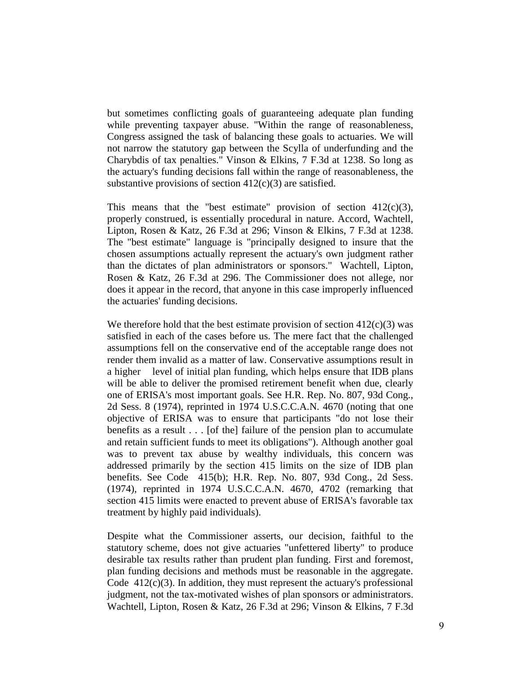but sometimes conflicting goals of guaranteeing adequate plan funding while preventing taxpayer abuse. "Within the range of reasonableness, Congress assigned the task of balancing these goals to actuaries. We will not narrow the statutory gap between the Scylla of underfunding and the Charybdis of tax penalties." Vinson & Elkins, 7 F.3d at 1238. So long as the actuary's funding decisions fall within the range of reasonableness, the substantive provisions of section  $412(c)(3)$  are satisfied.

This means that the "best estimate" provision of section  $412(c)(3)$ , properly construed, is essentially procedural in nature. Accord, Wachtell, Lipton, Rosen & Katz, 26 F.3d at 296; Vinson & Elkins, 7 F.3d at 1238. The "best estimate" language is "principally designed to insure that the chosen assumptions actually represent the actuary's own judgment rather than the dictates of plan administrators or sponsors." Wachtell, Lipton, Rosen & Katz, 26 F.3d at 296. The Commissioner does not allege, nor does it appear in the record, that anyone in this case improperly influenced the actuaries' funding decisions.

We therefore hold that the best estimate provision of section  $412(c)(3)$  was satisfied in each of the cases before us. The mere fact that the challenged assumptions fell on the conservative end of the acceptable range does not render them invalid as a matter of law. Conservative assumptions result in a higher level of initial plan funding, which helps ensure that IDB plans will be able to deliver the promised retirement benefit when due, clearly one of ERISA's most important goals. See H.R. Rep. No. 807, 93d Cong., 2d Sess. 8 (1974), reprinted in 1974 U.S.C.C.A.N. 4670 (noting that one objective of ERISA was to ensure that participants "do not lose their benefits as a result . . . [of the] failure of the pension plan to accumulate and retain sufficient funds to meet its obligations"). Although another goal was to prevent tax abuse by wealthy individuals, this concern was addressed primarily by the section 415 limits on the size of IDB plan benefits. See Code 415(b); H.R. Rep. No. 807, 93d Cong., 2d Sess. (1974), reprinted in 1974 U.S.C.C.A.N. 4670, 4702 (remarking that section 415 limits were enacted to prevent abuse of ERISA's favorable tax treatment by highly paid individuals).

Despite what the Commissioner asserts, our decision, faithful to the statutory scheme, does not give actuaries "unfettered liberty" to produce desirable tax results rather than prudent plan funding. First and foremost, plan funding decisions and methods must be reasonable in the aggregate. Code  $412(c)(3)$ . In addition, they must represent the actuary's professional judgment, not the tax-motivated wishes of plan sponsors or administrators. Wachtell, Lipton, Rosen & Katz, 26 F.3d at 296; Vinson & Elkins, 7 F.3d